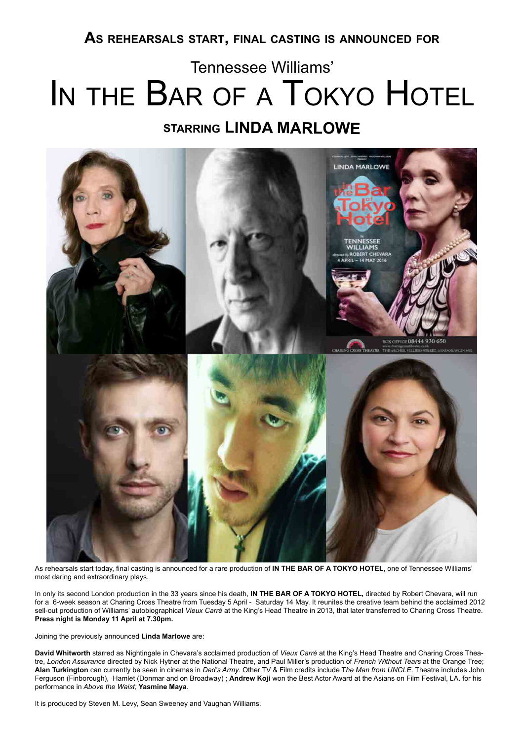## **As rehearsals start, final casting is announced for**

# IN THE BAR OF A TOKYO HOTEL **starring LINDA MARLOWE** Tennessee Williams'



As rehearsals start today, final casting is announced for a rare production of **IN THE BAR OF A TOKYO HOTEL**, one of Tennessee Williams' most daring and extraordinary plays.

In only its second London production in the 33 years since his death, **IN THE BAR OF A TOKYO HOTEL,** directed by Robert Chevara, will run for a 6-week season at Charing Cross Theatre from Tuesday 5 April - Saturday 14 May. It reunites the creative team behind the acclaimed 2012 sell-out production of Williams' autobiographical *Vieux Carré* at the King's Head Theatre in 2013, that later transferred to Charing Cross Theatre. **Press night is Monday 11 April at 7.30pm.** 

Joining the previously announced **Linda Marlowe** are:

**David Whitworth** starred as Nightingale in Chevara's acclaimed production of *Vieux Carré* at the King's Head Theatre and Charing Cross Theatre, *London Assurance* directed by Nick Hytner at the National Theatre, and Paul Miller's production of *French Without Tears* at the Orange Tree; **Alan Turkington** can currently be seen in cinemas in *Dad's Army*. Other TV & Film credits include T*he Man from UNCLE*. Theatre includes John Ferguson (Finborough), Hamlet (Donmar and on Broadway) ; **Andrew Koji** won the Best Actor Award at the Asians on Film Festival, LA. for his performance in *Above the Waist;* **Yasmine Maya***.*

It is produced by Steven M. Levy, Sean Sweeney and Vaughan Williams.